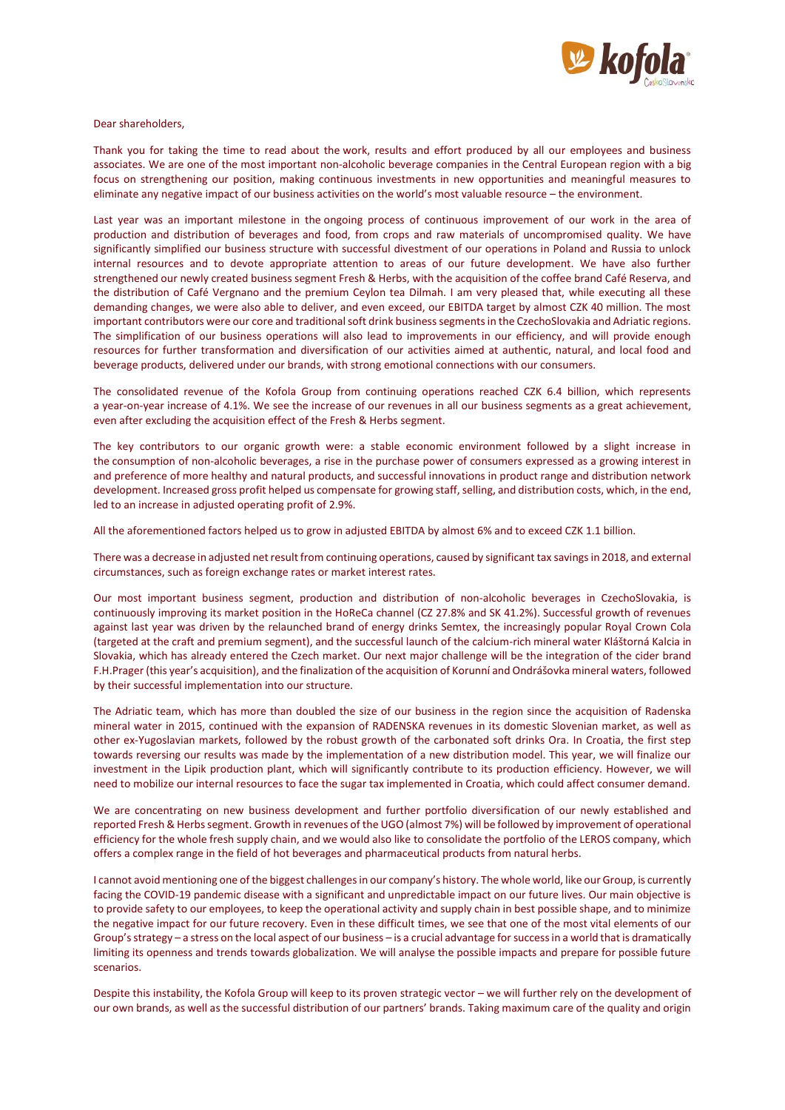

Dear shareholders,

Thank you for taking the time to read about the work, results and effort produced by all our employees and business associates. We are one of the most important non-alcoholic beverage companies in the Central European region with a big focus on strengthening our position, making continuous investments in new opportunities and meaningful measures to eliminate any negative impact of our business activities on the world's most valuable resource – the environment.

Last year was an important milestone in the ongoing process of continuous improvement of our work in the area of production and distribution of beverages and food, from crops and raw materials of uncompromised quality. We have significantly simplified our business structure with successful divestment of our operations in Poland and Russia to unlock internal resources and to devote appropriate attention to areas of our future development. We have also further strengthened our newly created business segment Fresh & Herbs, with the acquisition of the coffee brand Café Reserva, and the distribution of Café Vergnano and the premium Ceylon tea Dilmah. I am very pleased that, while executing all these demanding changes, we were also able to deliver, and even exceed, our EBITDA target by almost CZK 40 million. The most important contributors were our core and traditional soft drink business segments in the CzechoSlovakia and Adriatic regions. The simplification of our business operations will also lead to improvements in our efficiency, and will provide enough resources for further transformation and diversification of our activities aimed at authentic, natural, and local food and beverage products, delivered under our brands, with strong emotional connections with our consumers.

The consolidated revenue of the Kofola Group from continuing operations reached CZK 6.4 billion, which represents a year-on-year increase of 4.1%. We see the increase of our revenues in all our business segments as a great achievement, even after excluding the acquisition effect of the Fresh & Herbs segment.

The key contributors to our organic growth were: a stable economic environment followed by a slight increase in the consumption of non-alcoholic beverages, a rise in the purchase power of consumers expressed as a growing interest in and preference of more healthy and natural products, and successful innovations in product range and distribution network development. Increased gross profit helped us compensate for growing staff, selling, and distribution costs, which, in the end, led to an increase in adjusted operating profit of 2.9%.

All the aforementioned factors helped us to grow in adjusted EBITDA by almost 6% and to exceed CZK 1.1 billion.

There was a decrease in adjusted net result from continuing operations, caused by significant tax savings in 2018, and external circumstances, such as foreign exchange rates or market interest rates.

Our most important business segment, production and distribution of non-alcoholic beverages in CzechoSlovakia, is continuously improving its market position in the HoReCa channel (CZ 27.8% and SK 41.2%). Successful growth of revenues against last year was driven by the relaunched brand of energy drinks Semtex, the increasingly popular Royal Crown Cola (targeted at the craft and premium segment), and the successful launch of the calcium-rich mineral water Kláštorná Kalcia in Slovakia, which has already entered the Czech market. Our next major challenge will be the integration of the cider brand F.H.Prager (this year's acquisition), and the finalization of the acquisition of Korunní and Ondrášovka mineral waters, followed by their successful implementation into our structure.

The Adriatic team, which has more than doubled the size of our business in the region since the acquisition of Radenska mineral water in 2015, continued with the expansion of RADENSKA revenues in its domestic Slovenian market, as well as other ex-Yugoslavian markets, followed by the robust growth of the carbonated soft drinks Ora. In Croatia, the first step towards reversing our results was made by the implementation of a new distribution model. This year, we will finalize our investment in the Lipik production plant, which will significantly contribute to its production efficiency. However, we will need to mobilize our internal resources to face the sugar tax implemented in Croatia, which could affect consumer demand.

We are concentrating on new business development and further portfolio diversification of our newly established and reported Fresh & Herbs segment. Growth in revenues of the UGO (almost 7%) will be followed by improvement of operational efficiency for the whole fresh supply chain, and we would also like to consolidate the portfolio of the LEROS company, which offers a complex range in the field of hot beverages and pharmaceutical products from natural herbs.

I cannot avoid mentioning one of the biggest challenges in our company's history. The whole world, like our Group, is currently facing the COVID-19 pandemic disease with a significant and unpredictable impact on our future lives. Our main objective is to provide safety to our employees, to keep the operational activity and supply chain in best possible shape, and to minimize the negative impact for our future recovery. Even in these difficult times, we see that one of the most vital elements of our Group's strategy – a stress on the local aspect of our business – is a crucial advantage for success in a world that is dramatically limiting its openness and trends towards globalization. We will analyse the possible impacts and prepare for possible future scenarios.

Despite this instability, the Kofola Group will keep to its proven strategic vector – we will further rely on the development of our own brands, as well as the successful distribution of our partners' brands. Taking maximum care of the quality and origin